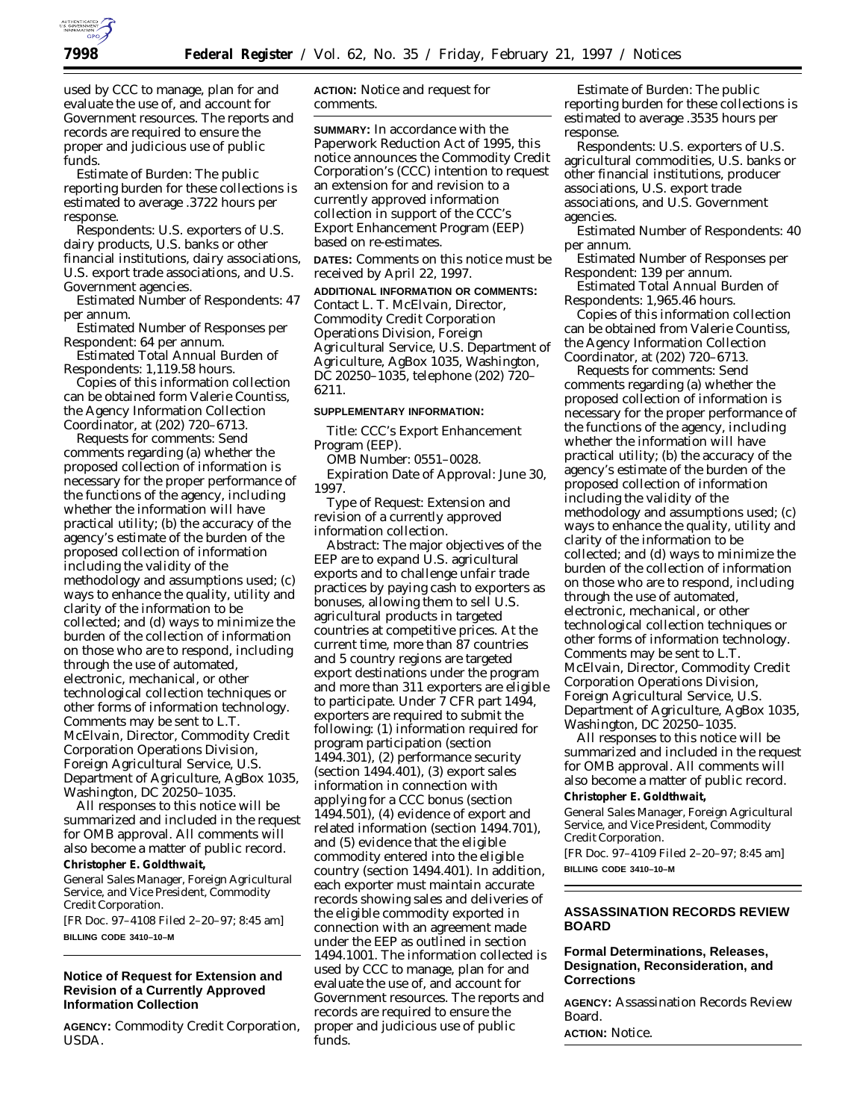

used by CCC to manage, plan for and evaluate the use of, and account for Government resources. The reports and records are required to ensure the proper and judicious use of public funds.

*Estimate of Burden:* The public reporting burden for these collections is estimated to average .3722 hours per response.

*Respondents:* U.S. exporters of U.S. dairy products, U.S. banks or other financial institutions, dairy associations, U.S. export trade associations, and U.S. Government agencies.

*Estimated Number of Respondents:* 47 per annum.

*Estimated Number of Responses per Respondent:* 64 per annum.

*Estimated Total Annual Burden of Respondents:* 1,119.58 hours.

Copies of this information collection can be obtained form Valerie Countiss, the Agency Information Collection Coordinator, at (202) 720–6713.

Requests for comments: Send comments regarding (a) whether the proposed collection of information is necessary for the proper performance of the functions of the agency, including whether the information will have practical utility; (b) the accuracy of the agency's estimate of the burden of the proposed collection of information including the validity of the methodology and assumptions used; (c) ways to enhance the quality, utility and clarity of the information to be collected; and (d) ways to minimize the burden of the collection of information on those who are to respond, including through the use of automated, electronic, mechanical, or other technological collection techniques or other forms of information technology. Comments may be sent to L.T. McElvain, Director, Commodity Credit Corporation Operations Division, Foreign Agricultural Service, U.S. Department of Agriculture, AgBox 1035, Washington, DC 20250–1035.

All responses to this notice will be summarized and included in the request for OMB approval. All comments will also become a matter of public record. **Christopher E. Goldthwait,**

*General Sales Manager, Foreign Agricultural Service, and Vice President, Commodity Credit Corporation.*

[FR Doc. 97–4108 Filed 2–20–97; 8:45 am] **BILLING CODE 3410–10–M**

#### **Notice of Request for Extension and Revision of a Currently Approved Information Collection**

**AGENCY:** Commodity Credit Corporation, USDA.

**ACTION:** Notice and request for comments.

**SUMMARY:** In accordance with the Paperwork Reduction Act of 1995, this notice announces the Commodity Credit Corporation's (CCC) intention to request an extension for and revision to a currently approved information collection in support of the CCC's Export Enhancement Program (EEP) based on re-estimates.

**DATES:** Comments on this notice must be received by April 22, 1997.

**ADDITIONAL INFORMATION OR COMMENTS:** Contact L. T. McElvain, Director, Commodity Credit Corporation Operations Division, Foreign Agricultural Service, U.S. Department of Agriculture, AgBox 1035, Washington, DC 20250–1035, telephone (202) 720– 6211.

# **SUPPLEMENTARY INFORMATION:**

*Title:* CCC's Export Enhancement Program (EEP).

*OMB Number:* 0551–0028.

*Expiration Date of Approval:* June 30, 1997.

*Type of Request:* Extension and revision of a currently approved information collection.

*Abstract:* The major objectives of the EEP are to expand U.S. agricultural exports and to challenge unfair trade practices by paying cash to exporters as bonuses, allowing them to sell U.S. agricultural products in targeted countries at competitive prices. At the current time, more than 87 countries and 5 country regions are targeted export destinations under the program and more than 311 exporters are eligible to participate. Under 7 CFR part 1494, exporters are required to submit the following: (1) information required for program participation (section 1494.301), (2) performance security (section 1494.401), (3) export sales information in connection with applying for a CCC bonus (section 1494.501), (4) evidence of export and related information (section 1494.701), and (5) evidence that the eligible commodity entered into the eligible country (section 1494.401). In addition, each exporter must maintain accurate records showing sales and deliveries of the eligible commodity exported in connection with an agreement made under the EEP as outlined in section 1494.1001. The information collected is used by CCC to manage, plan for and evaluate the use of, and account for Government resources. The reports and records are required to ensure the proper and judicious use of public funds.

*Estimate of Burden:* The public reporting burden for these collections is estimated to average .3535 hours per response.

*Respondents:* U.S. exporters of U.S. agricultural commodities, U.S. banks or other financial institutions, producer associations, U.S. export trade associations, and U.S. Government agencies.

*Estimated Number of Respondents:* 40 per annum.

*Estimated Number of Responses per Respondent:* 139 per annum.

*Estimated Total Annual Burden of Respondents:* 1,965.46 hours.

Copies of this information collection can be obtained from Valerie Countiss, the Agency Information Collection Coordinator, at (202) 720–6713.

*Requests for comments:* Send comments regarding (a) whether the proposed collection of information is necessary for the proper performance of the functions of the agency, including whether the information will have practical utility; (b) the accuracy of the agency's estimate of the burden of the proposed collection of information including the validity of the methodology and assumptions used; (c) ways to enhance the quality, utility and clarity of the information to be collected; and (d) ways to minimize the burden of the collection of information on those who are to respond, including through the use of automated, electronic, mechanical, or other technological collection techniques or other forms of information technology. Comments may be sent to L.T. McElvain, Director, Commodity Credit Corporation Operations Division, Foreign Agricultural Service, U.S. Department of Agriculture, AgBox 1035, Washington, DC 20250–1035.

All responses to this notice will be summarized and included in the request for OMB approval. All comments will also become a matter of public record. **Christopher E. Goldthwait,**

*General Sales Manager, Foreign Agricultural Service, and Vice President, Commodity Credit Corporation.* [FR Doc. 97–4109 Filed 2–20–97; 8:45 am]

**BILLING CODE 3410–10–M**

#### **ASSASSINATION RECORDS REVIEW BOARD**

### **Formal Determinations, Releases, Designation, Reconsideration, and Corrections**

**AGENCY:** Assassination Records Review Board.

**ACTION:** Notice.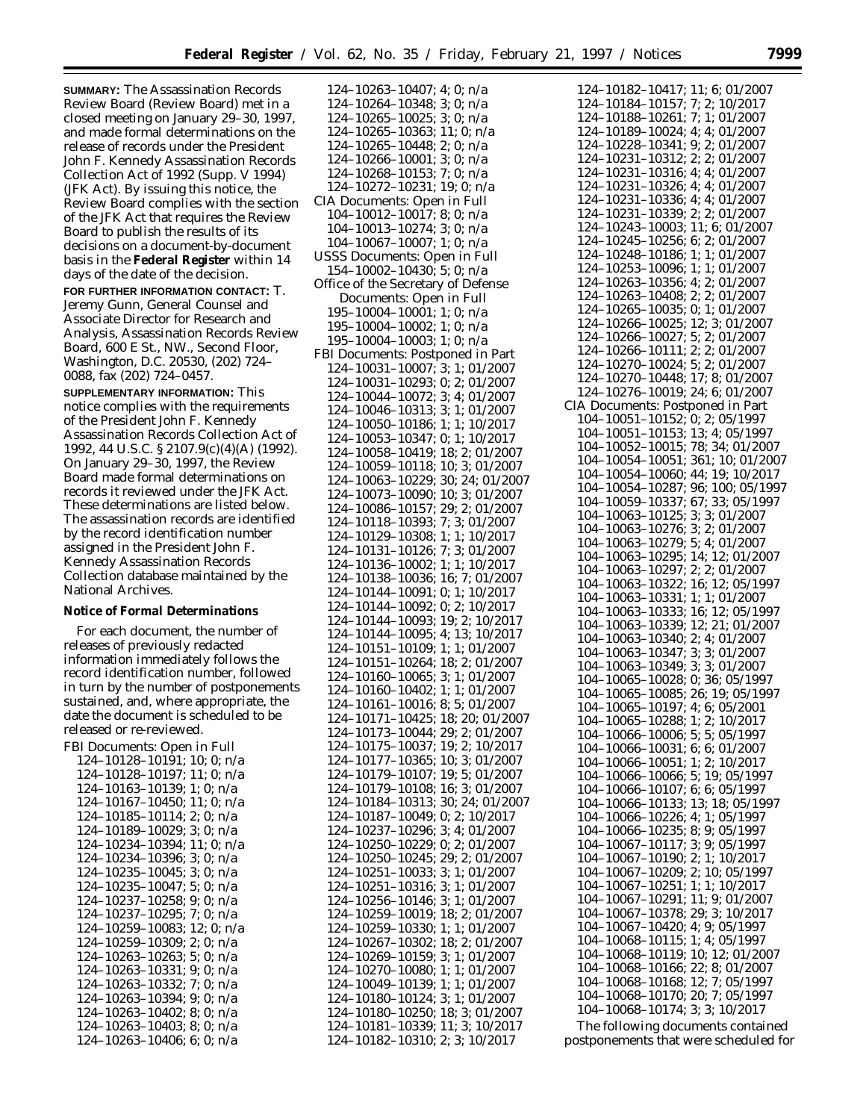**SUMMARY:** The Assassination Records Review Board (Review Board) met in a closed meeting on January 29–30, 1997, and made formal determinations on the release of records under the President John F. Kennedy Assassination Records Collection Act of 1992 (Supp. V 1994) (JFK Act). By issuing this notice, the Review Board complies with the section of the JFK Act that requires the Review Board to publish the results of its decisions on a document-by-document basis in the **Federal Register** within 14 days of the date of the decision.

**FOR FURTHER INFORMATION CONTACT:** T. Jeremy Gunn, General Counsel and Associate Director for Research and Analysis, Assassination Records Review Board, 600 E St., NW., Second Floor, Washington, D.C. 20530, (202) 724– 0088, fax (202) 724–0457.

**SUPPLEMENTARY INFORMATION:** This notice complies with the requirements of the President John F. Kennedy Assassination Records Collection Act of 1992, 44 U.S.C. § 2107.9(c)(4)(A) (1992). On January 29–30, 1997, the Review Board made formal determinations on records it reviewed under the JFK Act. These determinations are listed below. The assassination records are identified by the record identification number assigned in the President John F. Kennedy Assassination Records Collection database maintained by the National Archives.

#### **Notice of Formal Determinations**

For each document, the number of releases of previously redacted information immediately follows the record identification number, followed in turn by the number of postponements sustained, and, where appropriate, the date the document is scheduled to be released or re-reviewed.

FBI Documents: Open in Full 124–10128–10191; 10; 0; n/a 124–10128–10197; 11; 0; n/a 124–10163–10139; 1; 0; n/a 124–10167–10450; 11; 0; n/a 124–10185–10114; 2; 0; n/a 124–10189–10029; 3; 0; n/a 124–10234–10394; 11; 0; n/a 124–10234–10396; 3; 0; n/a 124–10235–10045; 3; 0; n/a 124–10235–10047; 5; 0; n/a 124–10237–10258; 9; 0; n/a 124–10237–10295; 7; 0; n/a 124–10259–10083; 12; 0; n/a 124–10259–10309; 2; 0; n/a 124–10263–10263; 5; 0; n/a 124–10263–10331; 9; 0; n/a 124–10263–10332; 7; 0; n/a 124–10263–10394; 9; 0; n/a 124–10263–10402; 8; 0; n/a 124–10263–10403; 8; 0; n/a 124–10263–10406; 6; 0; n/a

124–10263–10407; 4; 0; n/a 124–10264–10348; 3; 0; n/a 124–10265–10025; 3; 0; n/a 124–10265–10363; 11; 0; n/a 124–10265–10448; 2; 0; n/a 124–10266–10001; 3; 0; n/a 124–10268–10153; 7; 0; n/a 124–10272–10231; 19; 0; n/a CIA Documents: Open in Full 104–10012–10017; 8; 0; n/a 104–10013–10274; 3; 0; n/a 104–10067–10007; 1; 0; n/a USSS Documents: Open in Full 154–10002–10430; 5; 0; n/a Office of the Secretary of Defense Documents: Open in Full 195–10004–10001; 1; 0; n/a 195–10004–10002; 1; 0; n/a 195–10004–10003; 1; 0; n/a FBI Documents: Postponed in Part 124–10031–10007; 3; 1; 01/2007 124–10031–10293; 0; 2; 01/2007 124–10044–10072; 3; 4; 01/2007 124–10046–10313; 3; 1; 01/2007 124–10050–10186; 1; 1; 10/2017 124–10053–10347; 0; 1; 10/2017 124–10058–10419; 18; 2; 01/2007 124–10059–10118; 10; 3; 01/2007 124–10063–10229; 30; 24; 01/2007 124–10073–10090; 10; 3; 01/2007 124–10086–10157; 29; 2; 01/2007 124–10118–10393; 7; 3; 01/2007 124–10129–10308; 1; 1; 10/2017 124–10131–10126; 7; 3; 01/2007 124–10136–10002; 1; 1; 10/2017 124–10138–10036; 16; 7; 01/2007 124–10144–10091; 0; 1; 10/2017 124–10144–10092; 0; 2; 10/2017 124–10144–10093; 19; 2; 10/2017 124–10144–10095; 4; 13; 10/2017 124–10151–10109; 1; 1; 01/2007 124–10151–10264; 18; 2; 01/2007 124–10160–10065; 3; 1; 01/2007 124–10160–10402; 1; 1; 01/2007 124–10161–10016; 8; 5; 01/2007 124–10171–10425; 18; 20; 01/2007 124–10173–10044; 29; 2; 01/2007 124–10175–10037; 19; 2; 10/2017 124–10177–10365; 10; 3; 01/2007 124–10179–10107; 19; 5; 01/2007 124–10179–10108; 16; 3; 01/2007 124–10184–10313; 30; 24; 01/2007 124–10187–10049; 0; 2; 10/2017 124–10237–10296; 3; 4; 01/2007 124–10250–10229; 0; 2; 01/2007 124–10250–10245; 29; 2; 01/2007 124–10251–10033; 3; 1; 01/2007 124–10251–10316; 3; 1; 01/2007 124–10256–10146; 3; 1; 01/2007 124–10259–10019; 18; 2; 01/2007 124–10259–10330; 1; 1; 01/2007 124–10267–10302; 18; 2; 01/2007 124–10269–10159; 3; 1; 01/2007 124–10270–10080; 1; 1; 01/2007 124–10049–10139; 1; 1; 01/2007 124–10180–10124; 3; 1; 01/2007 124–10180–10250; 18; 3; 01/2007 124–10181–10339; 11; 3; 10/2017 124–10182–10310; 2; 3; 10/2017

124–10182–10417; 11; 6; 01/2007 124–10184–10157; 7; 2; 10/2017 124–10188–10261; 7; 1; 01/2007 124–10189–10024; 4; 4; 01/2007 124–10228–10341; 9; 2; 01/2007 124–10231–10312; 2; 2; 01/2007 124–10231–10316; 4; 4; 01/2007 124–10231–10326; 4; 4; 01/2007 124–10231–10336; 4; 4; 01/2007 124–10231–10339; 2; 2; 01/2007 124–10243–10003; 11; 6; 01/2007 124–10245–10256; 6; 2; 01/2007 124–10248–10186; 1; 1; 01/2007 124–10253–10096; 1; 1; 01/2007 124–10263–10356; 4; 2; 01/2007 124–10263–10408; 2; 2; 01/2007 124–10265–10035; 0; 1; 01/2007 124–10266–10025; 12; 3; 01/2007 124–10266–10027; 5; 2; 01/2007 124–10266–10111; 2; 2; 01/2007 124–10270–10024; 5; 2; 01/2007 124–10270–10448; 17; 8; 01/2007 124–10276–10019; 24; 6; 01/2007 CIA Documents: Postponed in Part 104–10051–10152; 0; 2; 05/1997 104–10051–10153; 13; 4; 05/1997 104–10052–10015; 78; 34; 01/2007 104–10054–10051; 361; 10; 01/2007 104–10054–10060; 44; 19; 10/2017 104–10054–10287; 96; 100; 05/1997 104–10059–10337; 67; 33; 05/1997 104–10063–10125; 3; 3; 01/2007 104–10063–10276; 3; 2; 01/2007 104–10063–10279; 5; 4; 01/2007 104–10063–10295; 14; 12; 01/2007 104–10063–10297; 2; 2; 01/2007 104–10063–10322; 16; 12; 05/1997 104–10063–10331; 1; 1; 01/2007 104–10063–10333; 16; 12; 05/1997 104–10063–10339; 12; 21; 01/2007 104–10063–10340; 2; 4; 01/2007 104–10063–10347; 3; 3; 01/2007 104–10063–10349; 3; 3; 01/2007 104–10065–10028; 0; 36; 05/1997 104–10065–10085; 26; 19; 05/1997 104–10065–10197; 4; 6; 05/2001 104–10065–10288; 1; 2; 10/2017 104–10066–10006; 5; 5; 05/1997 104–10066–10031; 6; 6; 01/2007 104–10066–10051; 1; 2; 10/2017 104–10066–10066; 5; 19; 05/1997 104–10066–10107; 6; 6; 05/1997 104–10066–10133; 13; 18; 05/1997 104–10066–10226; 4; 1; 05/1997 104–10066–10235; 8; 9; 05/1997 104–10067–10117; 3; 9; 05/1997 104–10067–10190; 2; 1; 10/2017 104–10067–10209; 2; 10; 05/1997 104–10067–10251; 1; 1; 10/2017 104–10067–10291; 11; 9; 01/2007 104–10067–10378; 29; 3; 10/2017 104–10067–10420; 4; 9; 05/1997 104–10068–10115; 1; 4; 05/1997 104–10068–10119; 10; 12; 01/2007 104–10068–10166; 22; 8; 01/2007 104–10068–10168; 12; 7; 05/1997 104–10068–10170; 20; 7; 05/1997 104–10068–10174; 3; 3; 10/2017

The following documents contained postponements that were scheduled for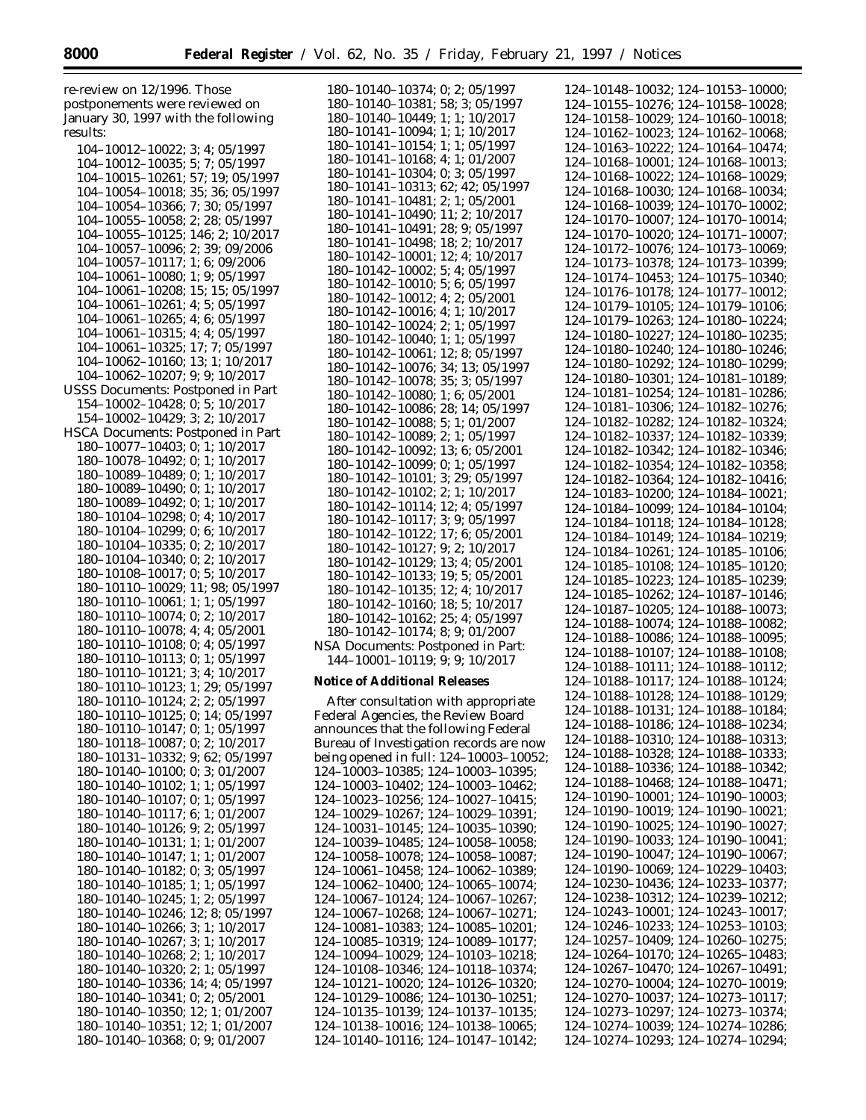re-review on 12/1996. Those postponements were reviewed on January 30, 1997 with the following results:

104–10012–10022; 3; 4; 05/1997 104–10012–10035; 5; 7; 05/1997 104–10015–10261; 57; 19; 05/1997 104–10054–10018; 35; 36; 05/1997 104–10054–10366; 7; 30; 05/1997 104–10055–10058; 2; 28; 05/1997 104–10055–10125; 146; 2; 10/2017 104–10057–10096; 2; 39; 09/2006 104–10057–10117; 1; 6; 09/2006 104–10061–10080; 1; 9; 05/1997 104–10061–10208; 15; 15; 05/1997 104–10061–10261; 4; 5; 05/1997 104–10061–10265; 4; 6; 05/1997 104–10061–10315; 4; 4; 05/1997 104–10061–10325; 17; 7; 05/1997 104–10062–10160; 13; 1; 10/2017 104–10062–10207; 9; 9; 10/2017 USSS Documents: Postponed in Part 154–10002–10428; 0; 5; 10/2017 154–10002–10429; 3; 2; 10/2017 HSCA Documents: Postponed in Part 180–10077–10403; 0; 1; 10/2017 180–10078–10492; 0; 1; 10/2017 180–10089–10489; 0; 1; 10/2017 180–10089–10490; 0; 1; 10/2017 180–10089–10492; 0; 1; 10/2017 180–10104–10298; 0; 4; 10/2017 180–10104–10299; 0; 6; 10/2017 180–10104–10335; 0; 2; 10/2017 180–10104–10340; 0; 2; 10/2017 180–10108–10017; 0; 5; 10/2017 180–10110–10029; 11; 98; 05/1997 180–10110–10061; 1; 1; 05/1997 180–10110–10074; 0; 2; 10/2017 180–10110–10078; 4; 4; 05/2001 180–10110–10108; 0; 4; 05/1997 180–10110–10113; 0; 1; 05/1997 180–10110–10121; 3; 4; 10/2017 180–10110–10123; 1; 29; 05/1997 180–10110–10124; 2; 2; 05/1997 180–10110–10125; 0; 14; 05/1997 180–10110–10147; 0; 1; 05/1997 180–10118–10087; 0; 2; 10/2017 180–10131–10332; 9; 62; 05/1997 180–10140–10100; 0; 3; 01/2007 180–10140–10102; 1; 1; 05/1997 180–10140–10107; 0; 1; 05/1997 180–10140–10117; 6; 1; 01/2007 180–10140–10126; 9; 2; 05/1997 180–10140–10131; 1; 1; 01/2007 180–10140–10147; 1; 1; 01/2007 180–10140–10182; 0; 3; 05/1997 180–10140–10185; 1; 1; 05/1997 180–10140–10245; 1; 2; 05/1997 180–10140–10246; 12; 8; 05/1997 180–10140–10266; 3; 1; 10/2017 180–10140–10267; 3; 1; 10/2017 180–10140–10268; 2; 1; 10/2017 180–10140–10320; 2; 1; 05/1997 180–10140–10336; 14; 4; 05/1997 180–10140–10341; 0; 2; 05/2001 180–10140–10350; 12; 1; 01/2007 180–10140–10351; 12; 1; 01/2007 180–10140–10368; 0; 9; 01/2007

180–10140–10374; 0; 2; 05/1997 180–10140–10381; 58; 3; 05/1997 180–10140–10449; 1; 1; 10/2017 180–10141–10094; 1; 1; 10/2017 180–10141–10154; 1; 1; 05/1997 180–10141–10168; 4; 1; 01/2007 180–10141–10304; 0; 3; 05/1997 180–10141–10313; 62; 42; 05/1997 180–10141–10481; 2; 1; 05/2001 180–10141–10490; 11; 2; 10/2017 180–10141–10491; 28; 9; 05/1997 180–10141–10498; 18; 2; 10/2017 180–10142–10001; 12; 4; 10/2017 180–10142–10002; 5; 4; 05/1997 180–10142–10010; 5; 6; 05/1997 180–10142–10012; 4; 2; 05/2001 180–10142–10016; 4; 1; 10/2017 180–10142–10024; 2; 1; 05/1997 180–10142–10040; 1; 1; 05/1997 180–10142–10061; 12; 8; 05/1997 180–10142–10076; 34; 13; 05/1997 180–10142–10078; 35; 3; 05/1997 180–10142–10080; 1; 6; 05/2001 180–10142–10086; 28; 14; 05/1997 180–10142–10088; 5; 1; 01/2007 180–10142–10089; 2; 1; 05/1997 180–10142–10092; 13; 6; 05/2001 180–10142–10099; 0; 1; 05/1997 180–10142–10101; 3; 29; 05/1997 180–10142–10102; 2; 1; 10/2017 180–10142–10114; 12; 4; 05/1997 180–10142–10117; 3; 9; 05/1997 180–10142–10122; 17; 6; 05/2001 180–10142–10127; 9; 2; 10/2017 180–10142–10129; 13; 4; 05/2001 180–10142–10133; 19; 5; 05/2001 180–10142–10135; 12; 4; 10/2017 180–10142–10160; 18; 5; 10/2017 180–10142–10162; 25; 4; 05/1997 180–10142–10174; 8; 9; 01/2007 NSA Documents: Postponed in Part: 144–10001–10119; 9; 9; 10/2017 **Notice of Additional Releases** After consultation with appropriate Federal Agencies, the Review Board announces that the following Federal Bureau of Investigation records are now being opened in full: 124–10003–10052; 124–10003–10385; 124–10003–10395; 124–10003–10402; 124–10003–10462; 124–10023–10256; 124–10027–10415; 124–10029–10267; 124–10029–10391; 124–10031–10145; 124–10035–10390; 124–10039–10485; 124–10058–10058; 124–10058–10078; 124–10058–10087; 124–10061–10458; 124–10062–10389; 124–10062–10400; 124–10065–10074; 124–10067–10124; 124–10067–10267;

124–10067–10268; 124–10067–10271; 124–10081–10383; 124–10085–10201; 124–10085–10319; 124–10089–10177; 124–10094–10029; 124–10103–10218; 124–10108–10346; 124–10118–10374; 124–10121–10020; 124–10126–10320; 124–10129–10086; 124–10130–10251; 124–10135–10139; 124–10137–10135; 124–10138–10016; 124–10138–10065; 124–10140–10116; 124–10147–10142; 124–10148–10032; 124–10153–10000; 124–10155–10276; 124–10158–10028; 124–10158–10029; 124–10160–10018; 124–10162–10023; 124–10162–10068; 124–10163–10222; 124–10164–10474; 124–10168–10001; 124–10168–10013; 124–10168–10022; 124–10168–10029; 124–10168–10030; 124–10168–10034; 124–10168–10039; 124–10170–10002; 124–10170–10007; 124–10170–10014; 124–10170–10020; 124–10171–10007; 124–10172–10076; 124–10173–10069; 124–10173–10378; 124–10173–10399; 124–10174–10453; 124–10175–10340; 124–10176–10178; 124–10177–10012; 124–10179–10105; 124–10179–10106; 124–10179–10263; 124–10180–10224; 124–10180–10227; 124–10180–10235; 124–10180–10240; 124–10180–10246; 124–10180–10292; 124–10180–10299; 124–10180–10301; 124–10181–10189; 124–10181–10254; 124–10181–10286; 124–10181–10306; 124–10182–10276; 124–10182–10282; 124–10182–10324; 124–10182–10337; 124–10182–10339; 124–10182–10342; 124–10182–10346; 124–10182–10354; 124–10182–10358; 124–10182–10364; 124–10182–10416; 124–10183–10200; 124–10184–10021; 124–10184–10099; 124–10184–10104; 124–10184–10118; 124–10184–10128; 124–10184–10149; 124–10184–10219; 124–10184–10261; 124–10185–10106; 124–10185–10108; 124–10185–10120; 124–10185–10223; 124–10185–10239; 124–10185–10262; 124–10187–10146; 124–10187–10205; 124–10188–10073; 124–10188–10074; 124–10188–10082; 124–10188–10086; 124–10188–10095; 124–10188–10107; 124–10188–10108; 124–10188–10111; 124–10188–10112; 124–10188–10117; 124–10188–10124; 124–10188–10128; 124–10188–10129; 124–10188–10131; 124–10188–10184; 124–10188–10186; 124–10188–10234; 124–10188–10310; 124–10188–10313; 124–10188–10328; 124–10188–10333; 124–10188–10336; 124–10188–10342; 124–10188–10468; 124–10188–10471; 124–10190–10001; 124–10190–10003; 124–10190–10019; 124–10190–10021; 124–10190–10025; 124–10190–10027; 124–10190–10033; 124–10190–10041; 124–10190–10047; 124–10190–10067; 124–10190–10069; 124–10229–10403; 124–10230–10436; 124–10233–10377; 124–10238–10312; 124–10239–10212; 124–10243–10001; 124–10243–10017; 124–10246–10233; 124–10253–10103; 124–10257–10409; 124–10260–10275; 124–10264–10170; 124–10265–10483; 124–10267–10470; 124–10267–10491; 124–10270–10004; 124–10270–10019; 124–10270–10037; 124–10273–10117; 124–10273–10297; 124–10273–10374; 124–10274–10039; 124–10274–10286; 124–10274–10293; 124–10274–10294;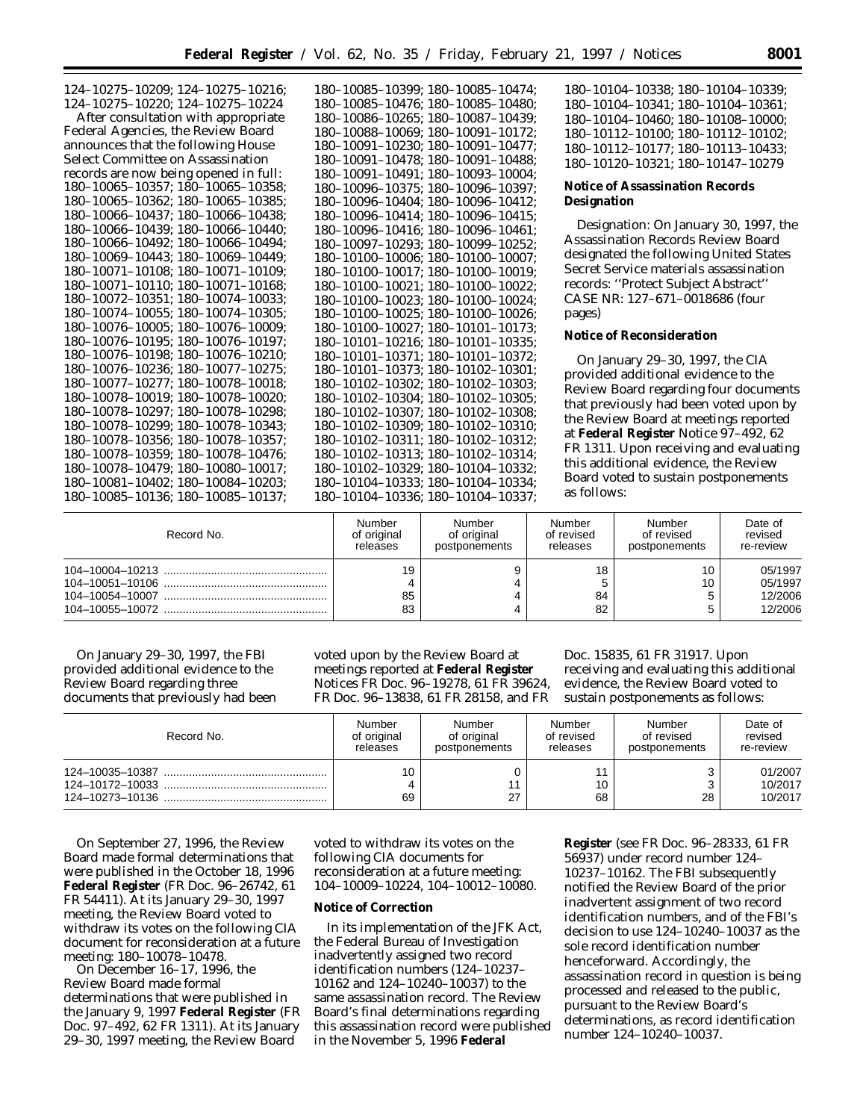| $124 - 10275 - 10209$ ; $124 - 10275 - 10216$ ; | 180-10085-10399; 180-10085-10474;       | 180-10104-10338; 180-10104-10339;      |
|-------------------------------------------------|-----------------------------------------|----------------------------------------|
| 124-10275-10220: 124-10275-10224                | 180-10085-10476: 180-10085-10480:       | 180-10104-10341; 180-10104-10361;      |
| After consultation with appropriate             | 180-10086-10265; 180-10087-10439;       | 180-10104-10460; 180-10108-10000;      |
| Federal Agencies, the Review Board              | 180-10088-10069: 180-10091-10172:       | 180-10112-10100; 180-10112-10102;      |
| announces that the following House              | 180-10091-10230; 180-10091-10477;       | 180-10112-10177: 180-10113-10433:      |
| Select Committee on Assassination               | 180-10091-10478: 180-10091-10488:       | 180-10120-10321; 180-10147-10279       |
| records are now being opened in full:           | 180-10091-10491: 180-10093-10004:       |                                        |
| 180-10065-10357: 180-10065-10358:               | 180-10096-10375; 180-10096-10397;       | Notice of Assassination Records        |
| $180-10065-10362$ ; $180-10065-10385$ ;         | 180-10096-10404; 180-10096-10412;       | Designation                            |
| 180-10066-10437; 180-10066-10438;               | 180-10096-10414; 180-10096-10415;       |                                        |
| 180-10066-10439; 180-10066-10440;               | 180-10096-10416: 180-10096-10461:       | Designation: On January 30, 1997, the  |
| 180-10066-10492; 180-10066-10494;               | 180-10097-10293; 180-10099-10252;       | Assassination Records Review Board     |
| 180-10069-10443: 180-10069-10449:               | 180-10100-10006; 180-10100-10007;       | designated the following United States |
| $180-10071-10108$ ; $180-10071-10109$ ;         | 180-10100-10017; 180-10100-10019;       | Secret Service materials assassination |
| $180-10071-10110$ ; $180-10071-10168$ ;         | 180-10100-10021; 180-10100-10022;       | records: "Protect Subject Abstract"    |
| 180-10072-10351; 180-10074-10033;               | 180-10100-10023; 180-10100-10024;       | CASE NR: 127-671-0018686 (four         |
| $180-10074-10055$ ; $180-10074-10305$ ;         | 180-10100-10025; 180-10100-10026;       | pages)                                 |
| 180-10076-10005: 180-10076-10009:               | 180-10100-10027; 180-10101-10173;       |                                        |
| 180-10076-10195; 180-10076-10197;               | $180-10101-10216$ ; $180-10101-10335$ ; | Notice of Reconsideration              |
| 180-10076-10198; 180-10076-10210;               | 180-10101-10371; 180-10101-10372;       | On January 29-30, 1997, the CIA        |
| 180-10076-10236; 180-10077-10275;               | 180-10101-10373; 180-10102-10301;       | provided additional evidence to the    |
| 180-10077-10277; 180-10078-10018;               | 180-10102-10302; 180-10102-10303;       |                                        |
| $180-10078-10019$ ; $180-10078-10020$ ;         | 180-10102-10304; 180-10102-10305;       | Review Board regarding four documents  |
| 180-10078-10297: 180-10078-10298:               | 180-10102-10307; 180-10102-10308;       | that previously had been voted upon by |
| 180-10078-10299; 180-10078-10343;               | 180-10102-10309; 180-10102-10310;       | the Review Board at meetings reported  |
| $180-10078-10356$ ; $180-10078-10357$ ;         | 180-10102-10311; 180-10102-10312;       | at Federal Register Notice 97-492, 62  |
| 180-10078-10359; 180-10078-10476;               | 180-10102-10313; 180-10102-10314;       | FR 1311. Upon receiving and evaluating |
| 180-10078-10479; 180-10080-10017;               | 180-10102-10329; 180-10104-10332;       | this additional evidence, the Review   |
| 180-10081-10402; 180-10084-10203;               | 180-10104-10333; 180-10104-10334;       | Board voted to sustain postponements   |
| 180-10085-10136; 180-10085-10137;               | 180-10104-10336; 180-10104-10337;       | as follows:                            |
|                                                 |                                         |                                        |

| Record No. | Number         | Number        | Number         | Number        | Date of                                  |
|------------|----------------|---------------|----------------|---------------|------------------------------------------|
|            | of original    | of original   | of revised     | of revised    | revised                                  |
|            | releases       | postponements | releases       | postponements | re-review                                |
|            | 19<br>85<br>83 |               | 18<br>84<br>82 |               | 05/1997<br>05/1997<br>12/2006<br>12/2006 |

On January 29–30, 1997, the FBI provided additional evidence to the Review Board regarding three documents that previously had been voted upon by the Review Board at meetings reported at **Federal Register** Notices FR Doc. 96–19278, 61 FR 39624, FR Doc. 96–13838, 61 FR 28158, and FR

Doc. 15835, 61 FR 31917. Upon receiving and evaluating this additional evidence, the Review Board voted to sustain postponements as follows:

| Record No. | Number      | Number        | Number     | Number        | Date of                       |
|------------|-------------|---------------|------------|---------------|-------------------------------|
|            | of original | of original   | of revised | of revised    | revised                       |
|            | releases    | postponements | releases   | postponements | re-review                     |
|            | 10<br>69    | 27            | 10<br>68   | 28            | 01/2007<br>10/2017<br>10/2017 |

On September 27, 1996, the Review Board made formal determinations that were published in the October 18, 1996 **Federal Register** (FR Doc. 96–26742, 61 FR 54411). At its January 29–30, 1997 meeting, the Review Board voted to withdraw its votes on the following CIA document for reconsideration at a future meeting: 180–10078–10478.

On December 16–17, 1996, the Review Board made formal determinations that were published in the January 9, 1997 **Federal Register** (FR Doc. 97–492, 62 FR 1311). At its January 29–30, 1997 meeting, the Review Board

voted to withdraw its votes on the following CIA documents for reconsideration at a future meeting: 104–10009–10224, 104–10012–10080.

# **Notice of Correction**

In its implementation of the JFK Act, the Federal Bureau of Investigation inadvertently assigned two record identification numbers (124–10237– 10162 and 124–10240–10037) to the same assassination record. The Review Board's final determinations regarding this assassination record were published in the November 5, 1996 **Federal**

**Register** (see FR Doc. 96–28333, 61 FR 56937) under record number 124– 10237–10162. The FBI subsequently notified the Review Board of the prior inadvertent assignment of two record identification numbers, and of the FBI's decision to use 124–10240–10037 as the sole record identification number henceforward. Accordingly, the assassination record in question is being processed and released to the public, pursuant to the Review Board's determinations, as record identification number 124–10240–10037.